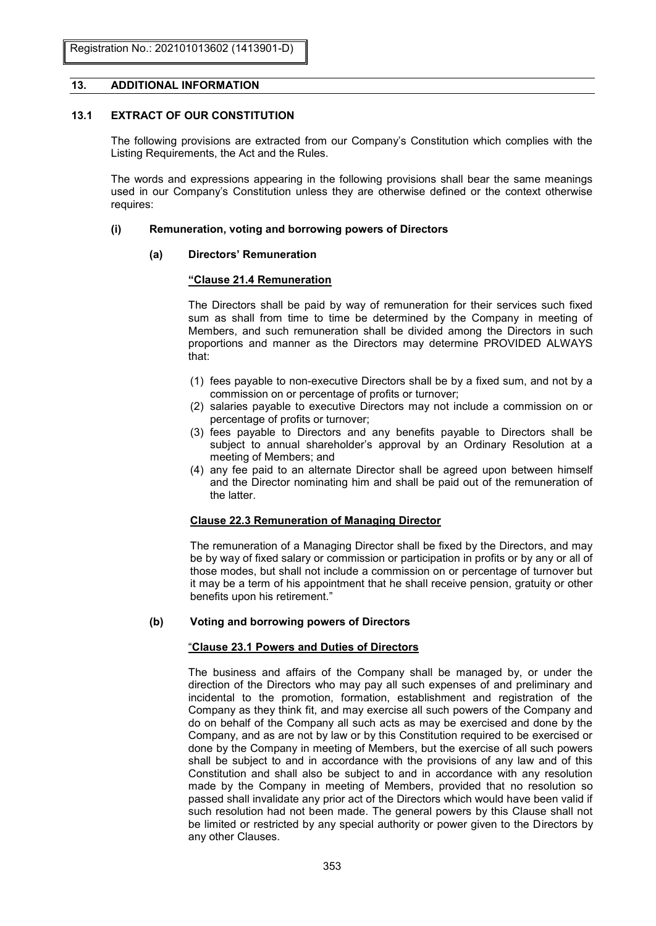### **13. ADDITIONAL INFORMATION**

### **13.1 EXTRACT OF OUR CONSTITUTION**

The following provisions are extracted from our Company's Constitution which complies with the Listing Requirements, the Act and the Rules.

The words and expressions appearing in the following provisions shall bear the same meanings used in our Company's Constitution unless they are otherwise defined or the context otherwise requires:

#### **(i) Remuneration, voting and borrowing powers of Directors**

#### **(a) Directors' Remuneration**

#### **"Clause 21.4 Remuneration**

The Directors shall be paid by way of remuneration for their services such fixed sum as shall from time to time be determined by the Company in meeting of Members, and such remuneration shall be divided among the Directors in such proportions and manner as the Directors may determine PROVIDED ALWAYS that:

- (1) fees payable to non-executive Directors shall be by a fixed sum, and not by a commission on or percentage of profits or turnover;
- (2) salaries payable to executive Directors may not include a commission on or percentage of profits or turnover;
- (3) fees payable to Directors and any benefits payable to Directors shall be subject to annual shareholder's approval by an Ordinary Resolution at a meeting of Members; and
- (4) any fee paid to an alternate Director shall be agreed upon between himself and the Director nominating him and shall be paid out of the remuneration of the latter.

#### **Clause 22.3 Remuneration of Managing Director**

The remuneration of a Managing Director shall be fixed by the Directors, and may be by way of fixed salary or commission or participation in profits or by any or all of those modes, but shall not include a commission on or percentage of turnover but it may be a term of his appointment that he shall receive pension, gratuity or other benefits upon his retirement."

#### **(b) Voting and borrowing powers of Directors**

#### "**Clause 23.1 Powers and Duties of Directors**

The business and affairs of the Company shall be managed by, or under the direction of the Directors who may pay all such expenses of and preliminary and incidental to the promotion, formation, establishment and registration of the Company as they think fit, and may exercise all such powers of the Company and do on behalf of the Company all such acts as may be exercised and done by the Company, and as are not by law or by this Constitution required to be exercised or done by the Company in meeting of Members, but the exercise of all such powers shall be subject to and in accordance with the provisions of any law and of this Constitution and shall also be subject to and in accordance with any resolution made by the Company in meeting of Members, provided that no resolution so passed shall invalidate any prior act of the Directors which would have been valid if such resolution had not been made. The general powers by this Clause shall not be limited or restricted by any special authority or power given to the Directors by any other Clauses.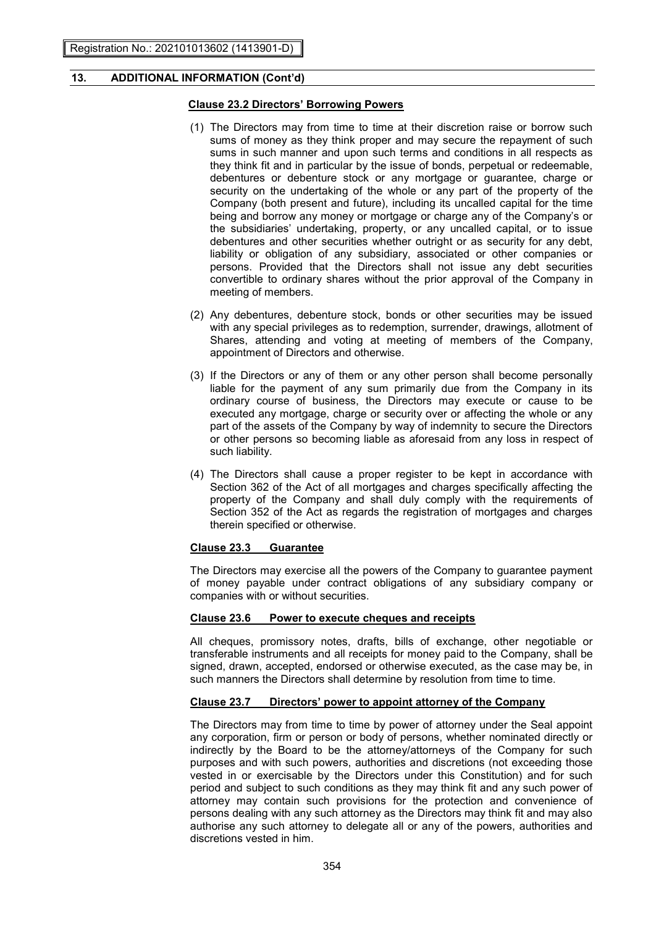#### **Clause 23.2 Directors' Borrowing Powers**

- (1) The Directors may from time to time at their discretion raise or borrow such sums of money as they think proper and may secure the repayment of such sums in such manner and upon such terms and conditions in all respects as they think fit and in particular by the issue of bonds, perpetual or redeemable, debentures or debenture stock or any mortgage or guarantee, charge or security on the undertaking of the whole or any part of the property of the Company (both present and future), including its uncalled capital for the time being and borrow any money or mortgage or charge any of the Company's or the subsidiaries' undertaking, property, or any uncalled capital, or to issue debentures and other securities whether outright or as security for any debt, liability or obligation of any subsidiary, associated or other companies or persons. Provided that the Directors shall not issue any debt securities convertible to ordinary shares without the prior approval of the Company in meeting of members.
- (2) Any debentures, debenture stock, bonds or other securities may be issued with any special privileges as to redemption, surrender, drawings, allotment of Shares, attending and voting at meeting of members of the Company, appointment of Directors and otherwise.
- (3) If the Directors or any of them or any other person shall become personally liable for the payment of any sum primarily due from the Company in its ordinary course of business, the Directors may execute or cause to be executed any mortgage, charge or security over or affecting the whole or any part of the assets of the Company by way of indemnity to secure the Directors or other persons so becoming liable as aforesaid from any loss in respect of such liability.
- (4) The Directors shall cause a proper register to be kept in accordance with Section 362 of the Act of all mortgages and charges specifically affecting the property of the Company and shall duly comply with the requirements of Section 352 of the Act as regards the registration of mortgages and charges therein specified or otherwise.

### **Clause 23.3 Guarantee**

The Directors may exercise all the powers of the Company to guarantee payment of money payable under contract obligations of any subsidiary company or companies with or without securities.

### **Clause 23.6 Power to execute cheques and receipts**

All cheques, promissory notes, drafts, bills of exchange, other negotiable or transferable instruments and all receipts for money paid to the Company, shall be signed, drawn, accepted, endorsed or otherwise executed, as the case may be, in such manners the Directors shall determine by resolution from time to time.

#### **Clause 23.7 Directors' power to appoint attorney of the Company**

The Directors may from time to time by power of attorney under the Seal appoint any corporation, firm or person or body of persons, whether nominated directly or indirectly by the Board to be the attorney/attorneys of the Company for such purposes and with such powers, authorities and discretions (not exceeding those vested in or exercisable by the Directors under this Constitution) and for such period and subject to such conditions as they may think fit and any such power of attorney may contain such provisions for the protection and convenience of persons dealing with any such attorney as the Directors may think fit and may also authorise any such attorney to delegate all or any of the powers, authorities and discretions vested in him.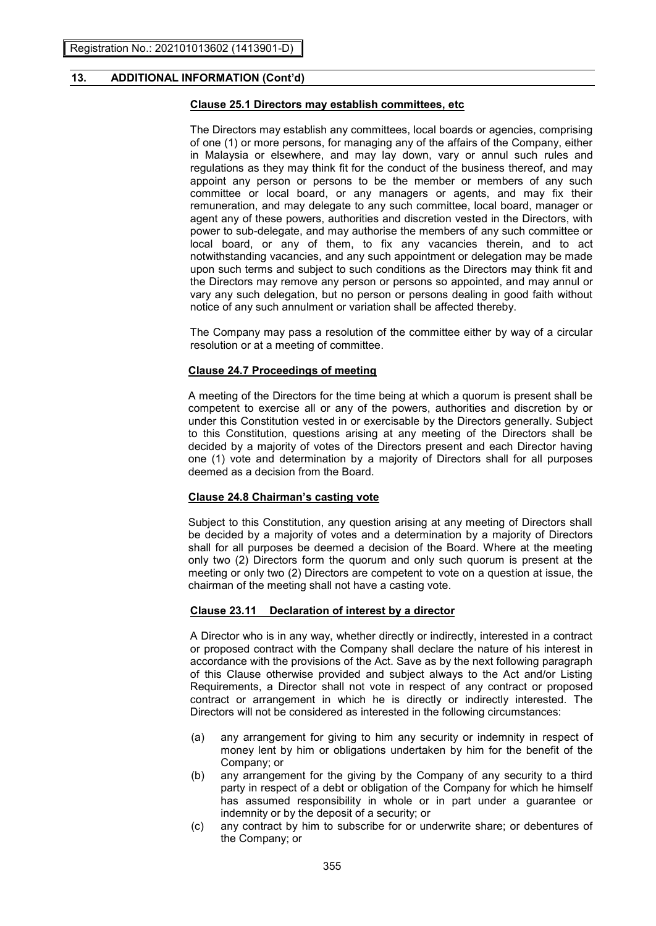#### **Clause 25.1 Directors may establish committees, etc**

The Directors may establish any committees, local boards or agencies, comprising of one (1) or more persons, for managing any of the affairs of the Company, either in Malaysia or elsewhere, and may lay down, vary or annul such rules and regulations as they may think fit for the conduct of the business thereof, and may appoint any person or persons to be the member or members of any such committee or local board, or any managers or agents, and may fix their remuneration, and may delegate to any such committee, local board, manager or agent any of these powers, authorities and discretion vested in the Directors, with power to sub-delegate, and may authorise the members of any such committee or local board, or any of them, to fix any vacancies therein, and to act notwithstanding vacancies, and any such appointment or delegation may be made upon such terms and subject to such conditions as the Directors may think fit and the Directors may remove any person or persons so appointed, and may annul or vary any such delegation, but no person or persons dealing in good faith without notice of any such annulment or variation shall be affected thereby.

The Company may pass a resolution of the committee either by way of a circular resolution or at a meeting of committee.

#### **Clause 24.7 Proceedings of meeting**

A meeting of the Directors for the time being at which a quorum is present shall be competent to exercise all or any of the powers, authorities and discretion by or under this Constitution vested in or exercisable by the Directors generally. Subject to this Constitution, questions arising at any meeting of the Directors shall be decided by a majority of votes of the Directors present and each Director having one (1) vote and determination by a majority of Directors shall for all purposes deemed as a decision from the Board.

#### **Clause 24.8 Chairman's casting vote**

Subject to this Constitution, any question arising at any meeting of Directors shall be decided by a majority of votes and a determination by a majority of Directors shall for all purposes be deemed a decision of the Board. Where at the meeting only two (2) Directors form the quorum and only such quorum is present at the meeting or only two (2) Directors are competent to vote on a question at issue, the chairman of the meeting shall not have a casting vote.

#### **Clause 23.11 Declaration of interest by a director**

A Director who is in any way, whether directly or indirectly, interested in a contract or proposed contract with the Company shall declare the nature of his interest in accordance with the provisions of the Act. Save as by the next following paragraph of this Clause otherwise provided and subject always to the Act and/or Listing Requirements, a Director shall not vote in respect of any contract or proposed contract or arrangement in which he is directly or indirectly interested. The Directors will not be considered as interested in the following circumstances:

- (a) any arrangement for giving to him any security or indemnity in respect of money lent by him or obligations undertaken by him for the benefit of the Company; or
- (b) any arrangement for the giving by the Company of any security to a third party in respect of a debt or obligation of the Company for which he himself has assumed responsibility in whole or in part under a guarantee or indemnity or by the deposit of a security; or
- (c) any contract by him to subscribe for or underwrite share; or debentures of the Company; or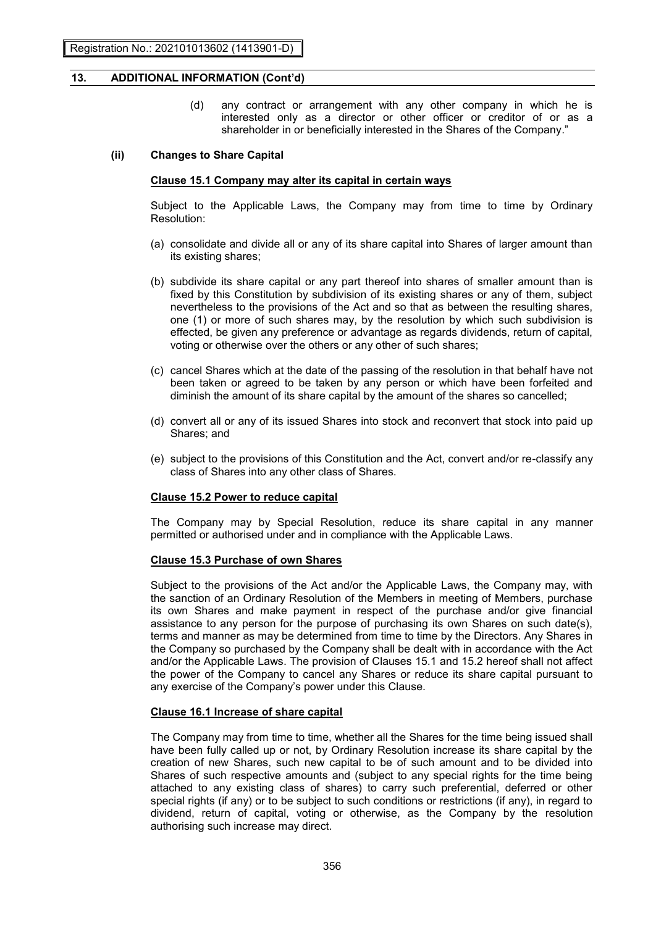(d) any contract or arrangement with any other company in which he is interested only as a director or other officer or creditor of or as a shareholder in or beneficially interested in the Shares of the Company."

#### **(ii) Changes to Share Capital**

#### **Clause 15.1 Company may alter its capital in certain ways**

Subject to the Applicable Laws, the Company may from time to time by Ordinary Resolution:

- (a) consolidate and divide all or any of its share capital into Shares of larger amount than its existing shares;
- (b) subdivide its share capital or any part thereof into shares of smaller amount than is fixed by this Constitution by subdivision of its existing shares or any of them, subject nevertheless to the provisions of the Act and so that as between the resulting shares, one (1) or more of such shares may, by the resolution by which such subdivision is effected, be given any preference or advantage as regards dividends, return of capital, voting or otherwise over the others or any other of such shares;
- (c) cancel Shares which at the date of the passing of the resolution in that behalf have not been taken or agreed to be taken by any person or which have been forfeited and diminish the amount of its share capital by the amount of the shares so cancelled;
- (d) convert all or any of its issued Shares into stock and reconvert that stock into paid up Shares; and
- (e) subject to the provisions of this Constitution and the Act, convert and/or re-classify any class of Shares into any other class of Shares.

#### **Clause 15.2 Power to reduce capital**

The Company may by Special Resolution, reduce its share capital in any manner permitted or authorised under and in compliance with the Applicable Laws.

#### **Clause 15.3 Purchase of own Shares**

Subject to the provisions of the Act and/or the Applicable Laws, the Company may, with the sanction of an Ordinary Resolution of the Members in meeting of Members, purchase its own Shares and make payment in respect of the purchase and/or give financial assistance to any person for the purpose of purchasing its own Shares on such date(s), terms and manner as may be determined from time to time by the Directors. Any Shares in the Company so purchased by the Company shall be dealt with in accordance with the Act and/or the Applicable Laws. The provision of Clauses 15.1 and 15.2 hereof shall not affect the power of the Company to cancel any Shares or reduce its share capital pursuant to any exercise of the Company's power under this Clause.

#### **Clause 16.1 Increase of share capital**

The Company may from time to time, whether all the Shares for the time being issued shall have been fully called up or not, by Ordinary Resolution increase its share capital by the creation of new Shares, such new capital to be of such amount and to be divided into Shares of such respective amounts and (subject to any special rights for the time being attached to any existing class of shares) to carry such preferential, deferred or other special rights (if any) or to be subject to such conditions or restrictions (if any), in regard to dividend, return of capital, voting or otherwise, as the Company by the resolution authorising such increase may direct.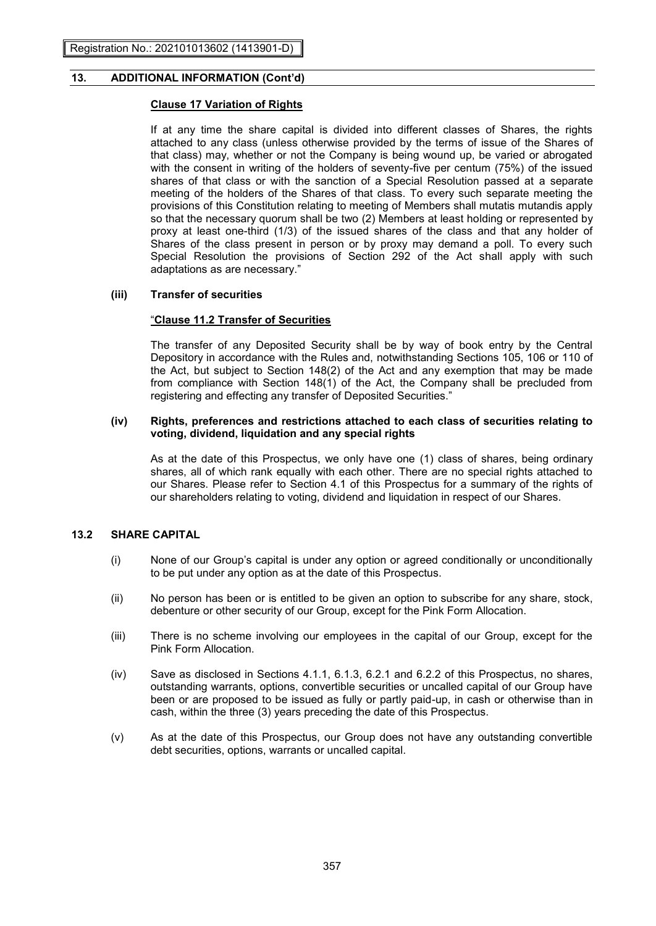### **Clause 17 Variation of Rights**

If at any time the share capital is divided into different classes of Shares, the rights attached to any class (unless otherwise provided by the terms of issue of the Shares of that class) may, whether or not the Company is being wound up, be varied or abrogated with the consent in writing of the holders of seventy-five per centum (75%) of the issued shares of that class or with the sanction of a Special Resolution passed at a separate meeting of the holders of the Shares of that class. To every such separate meeting the provisions of this Constitution relating to meeting of Members shall mutatis mutandis apply so that the necessary quorum shall be two (2) Members at least holding or represented by proxy at least one-third (1/3) of the issued shares of the class and that any holder of Shares of the class present in person or by proxy may demand a poll. To every such Special Resolution the provisions of Section 292 of the Act shall apply with such adaptations as are necessary."

### **(iii) Transfer of securities**

### "**Clause 11.2 Transfer of Securities**

The transfer of any Deposited Security shall be by way of book entry by the Central Depository in accordance with the Rules and, notwithstanding Sections 105, 106 or 110 of the Act, but subject to Section 148(2) of the Act and any exemption that may be made from compliance with Section  $148(1)$  of the Act, the Company shall be precluded from registering and effecting any transfer of Deposited Securities."

#### **(iv) Rights, preferences and restrictions attached to each class of securities relating to voting, dividend, liquidation and any special rights**

As at the date of this Prospectus, we only have one (1) class of shares, being ordinary shares, all of which rank equally with each other. There are no special rights attached to our Shares. Please refer to Section 4.1 of this Prospectus for a summary of the rights of our shareholders relating to voting, dividend and liquidation in respect of our Shares.

## **13.2 SHARE CAPITAL**

- (i) None of our Group's capital is under any option or agreed conditionally or unconditionally to be put under any option as at the date of this Prospectus.
- (ii) No person has been or is entitled to be given an option to subscribe for any share, stock, debenture or other security of our Group, except for the Pink Form Allocation.
- (iii) There is no scheme involving our employees in the capital of our Group, except for the Pink Form Allocation.
- (iv) Save as disclosed in Sections 4.1.1, 6.1.3, 6.2.1 and 6.2.2 of this Prospectus, no shares, outstanding warrants, options, convertible securities or uncalled capital of our Group have been or are proposed to be issued as fully or partly paid-up, in cash or otherwise than in cash, within the three (3) years preceding the date of this Prospectus.
- (v) As at the date of this Prospectus, our Group does not have any outstanding convertible debt securities, options, warrants or uncalled capital.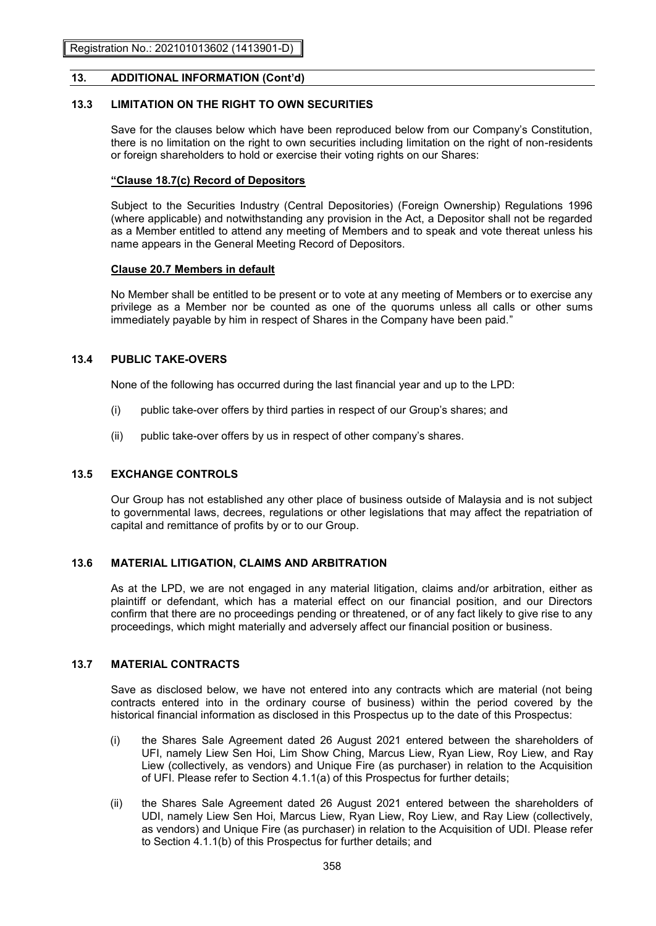## **13.3 LIMITATION ON THE RIGHT TO OWN SECURITIES**

Save for the clauses below which have been reproduced below from our Company's Constitution, there is no limitation on the right to own securities including limitation on the right of non-residents or foreign shareholders to hold or exercise their voting rights on our Shares:

### **"Clause 18.7(c) Record of Depositors**

Subject to the Securities Industry (Central Depositories) (Foreign Ownership) Regulations 1996 (where applicable) and notwithstanding any provision in the Act, a Depositor shall not be regarded as a Member entitled to attend any meeting of Members and to speak and vote thereat unless his name appears in the General Meeting Record of Depositors.

#### **Clause 20.7 Members in default**

No Member shall be entitled to be present or to vote at any meeting of Members or to exercise any privilege as a Member nor be counted as one of the quorums unless all calls or other sums immediately payable by him in respect of Shares in the Company have been paid."

## **13.4 PUBLIC TAKE-OVERS**

None of the following has occurred during the last financial year and up to the LPD:

- (i) public take-over offers by third parties in respect of our Group's shares; and
- (ii) public take-over offers by us in respect of other company's shares.

## **13.5 EXCHANGE CONTROLS**

Our Group has not established any other place of business outside of Malaysia and is not subject to governmental laws, decrees, regulations or other legislations that may affect the repatriation of capital and remittance of profits by or to our Group.

## **13.6 MATERIAL LITIGATION, CLAIMS AND ARBITRATION**

As at the LPD, we are not engaged in any material litigation, claims and/or arbitration, either as plaintiff or defendant, which has a material effect on our financial position, and our Directors confirm that there are no proceedings pending or threatened, or of any fact likely to give rise to any proceedings, which might materially and adversely affect our financial position or business.

## **13.7 MATERIAL CONTRACTS**

Save as disclosed below, we have not entered into any contracts which are material (not being contracts entered into in the ordinary course of business) within the period covered by the historical financial information as disclosed in this Prospectus up to the date of this Prospectus:

- (i) the Shares Sale Agreement dated 26 August 2021 entered between the shareholders of UFI, namely Liew Sen Hoi, Lim Show Ching, Marcus Liew, Ryan Liew, Roy Liew, and Ray Liew (collectively, as vendors) and Unique Fire (as purchaser) in relation to the Acquisition of UFI. Please refer to Section 4.1.1(a) of this Prospectus for further details;
- (ii) the Shares Sale Agreement dated 26 August 2021 entered between the shareholders of UDI, namely Liew Sen Hoi, Marcus Liew, Ryan Liew, Roy Liew, and Ray Liew (collectively, as vendors) and Unique Fire (as purchaser) in relation to the Acquisition of UDI. Please refer to Section 4.1.1(b) of this Prospectus for further details; and